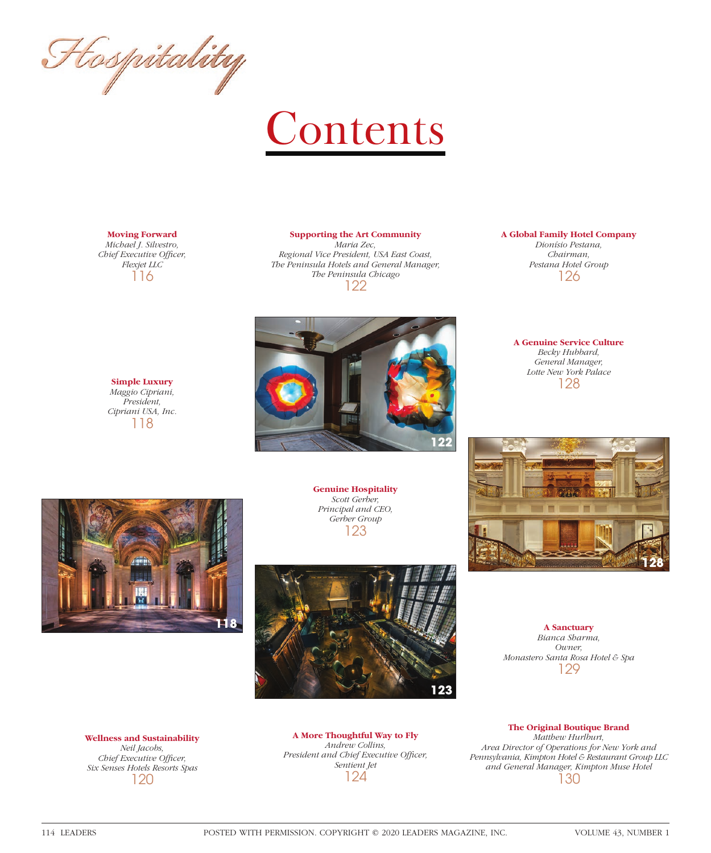Flospitality

# Contents

## **Moving Forward**

*Michael J. Silvestro, Chief Executive Officer, Flexjet LLC* 116

> **Simple Luxury** *Maggio Cipriani, President, Cipriani USA, Inc.* 118

#### **Supporting the Art Community** *Maria Zec,*

*Regional Vice President, USA East Coast, The Peninsula Hotels and General Manager, The Peninsula Chicago* 122



### **A Global Family Hotel Company**

*Dionísio Pestana, Chairman, Pestana Hotel Group* 126

**A Genuine Service Culture** *Becky Hubbard, General Manager, Lotte New York Palace* 128



**Genuine Hospitality** *Scott Gerber, Principal and CEO, Gerber Group* 123





**A Sanctuary** *Bianca Sharma, Owner, Monastero Santa Rosa Hotel & Spa* 129

**Wellness and Sustainability** *Neil Jacobs, Chief Executive Officer, Six Senses Hotels Resorts Spas* 120

**A More Thoughtful Way to Fly** *Andrew Collins, President and Chief Executive Officer, Sentient Jet* 124

**The Original Boutique Brand** *Matthew Hurlburt, Area Director of Operations for New York and Pennsylvania, Kimpton Hotel & Restaurant Group LLC and General Manager, Kimpton Muse Hotel* 130